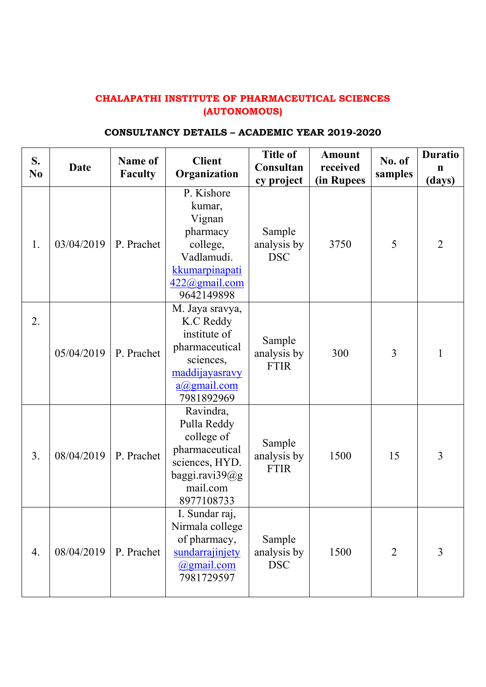## **CHALAPATHI INSTITUTE OF PHARMACEUTICAL SCIENCES (AUTONOMOUS)**

## **CONSULTANCY DETAILS – ACADEMIC YEAR 2019-2020**

| S.<br>N <sub>0</sub> | <b>Date</b> | <b>Name of</b><br><b>Faculty</b> | <b>Client</b><br>Organization                                                                                                   | <b>Title of</b><br>Consultan<br>cy project | <b>Amount</b><br>received<br>(in Rupees | No. of<br>samples | <b>Duratio</b><br>n<br>(days) |
|----------------------|-------------|----------------------------------|---------------------------------------------------------------------------------------------------------------------------------|--------------------------------------------|-----------------------------------------|-------------------|-------------------------------|
| 1.                   | 03/04/2019  | P. Prachet                       | P. Kishore<br>kumar,<br>Vignan<br>pharmacy<br>college,<br>Vadlamudi.<br>kkumarpinapati<br>422@gmail.com<br>9642149898           | Sample<br>analysis by<br><b>DSC</b>        | 3750                                    | 5                 | $\overline{2}$                |
| 2.                   | 05/04/2019  | P. Prachet                       | M. Jaya sravya,<br>K.C Reddy<br>institute of<br>pharmaceutical<br>sciences,<br>maddijayasravy<br>$a(a)$ gmail.com<br>7981892969 | Sample<br>analysis by<br><b>FTIR</b>       | 300                                     | 3                 | 1                             |
| 3.                   | 08/04/2019  | P. Prachet                       | Ravindra,<br>Pulla Reddy<br>college of<br>pharmaceutical<br>sciences, HYD.<br>baggi.ravi39@g<br>mail.com<br>8977108733          | Sample<br>analysis by<br><b>FTIR</b>       | 1500                                    | 15                | $\overline{3}$                |
| 4.                   | 08/04/2019  | P. Prachet                       | I. Sundar raj,<br>Nirmala college<br>of pharmacy,<br>sundarrajinjety<br>@gmail.com<br>7981729597                                | Sample<br>analysis by<br><b>DSC</b>        | 1500                                    | $\overline{2}$    | 3                             |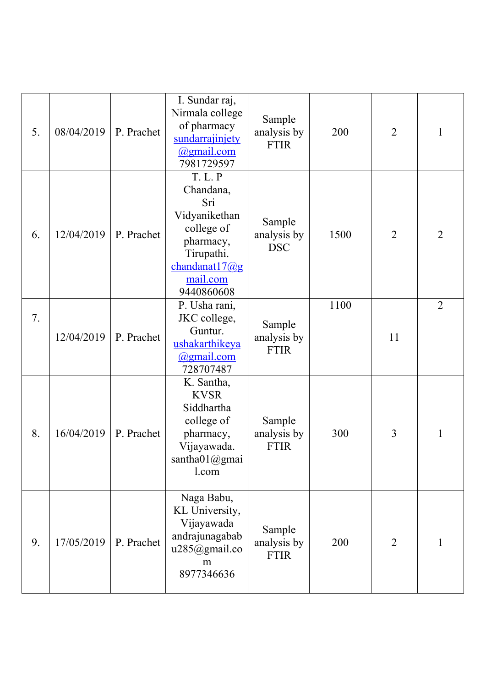| 5. | 08/04/2019 | P. Prachet | I. Sundar raj,<br>Nirmala college<br>of pharmacy<br>sundarrajinjety<br>$\omega$ gmail.com<br>7981729597                                    | Sample<br>analysis by<br><b>FTIR</b> | 200  | $\overline{2}$ | 1              |
|----|------------|------------|--------------------------------------------------------------------------------------------------------------------------------------------|--------------------------------------|------|----------------|----------------|
| 6. | 12/04/2019 | P. Prachet | <b>T. L. P</b><br>Chandana,<br>Sri<br>Vidyanikethan<br>college of<br>pharmacy,<br>Tirupathi.<br>chandanat17@g<br>mail.com<br>9440860608    | Sample<br>analysis by<br><b>DSC</b>  | 1500 | $\overline{2}$ | $\overline{2}$ |
| 7. | 12/04/2019 | P. Prachet | P. Usha rani,<br>JKC college,<br>Guntur.<br>ushakarthikeya<br><u>@gmail.com</u><br>728707487                                               | Sample<br>analysis by<br><b>FTIR</b> | 1100 | 11             | $\overline{2}$ |
| 8. | 16/04/2019 | P. Prachet | K. Santha,<br><b>KVSR</b><br>Siddhartha<br>college of<br>pharmacy,<br>Vijayawada.<br>$\text{santha01}\textcircled{a} \text{gmai}$<br>l.com | Sample<br>analysis by<br><b>FTIR</b> | 300  | 3              | 1              |
| 9. | 17/05/2019 | P. Prachet | Naga Babu,<br>KL University,<br>Vijayawada<br>andrajunagabab<br>u285@gmail.co<br>m<br>8977346636                                           | Sample<br>analysis by<br><b>FTIR</b> | 200  | $\overline{2}$ | 1              |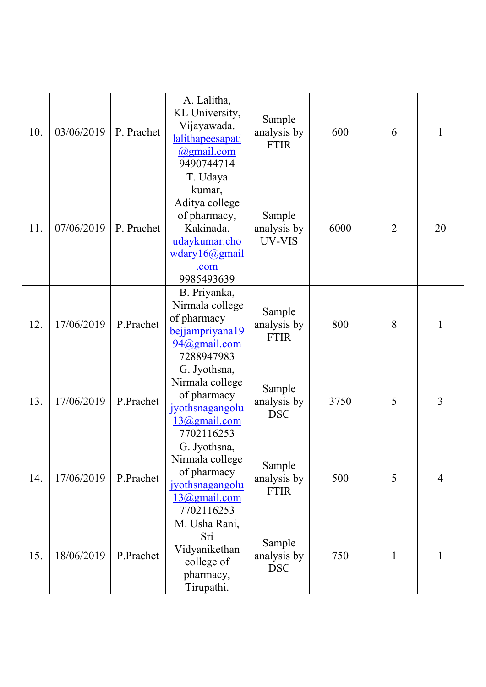| 10. | 03/06/2019 | P. Prachet | A. Lalitha,<br>KL University,<br>Vijayawada.<br>lalithapeesapati<br>@gmail.com<br>9490744714                                            | Sample<br>analysis by<br><b>FTIR</b> | 600  | 6              | 1              |
|-----|------------|------------|-----------------------------------------------------------------------------------------------------------------------------------------|--------------------------------------|------|----------------|----------------|
| 11. | 07/06/2019 | P. Prachet | T. Udaya<br>kumar,<br>Aditya college<br>of pharmacy,<br>Kakinada.<br>udaykumar.cho<br>$w$ dary $16$ ( $a$ ) gmail<br>.com<br>9985493639 | Sample<br>analysis by<br>UV-VIS      | 6000 | $\overline{2}$ | 20             |
| 12. | 17/06/2019 | P.Prachet  | B. Priyanka,<br>Nirmala college<br>of pharmacy<br>bejjampriyana19<br>94@gmail.com<br>7288947983                                         | Sample<br>analysis by<br><b>FTIR</b> | 800  | 8              | 1              |
| 13. | 17/06/2019 | P.Prachet  | G. Jyothsna,<br>Nirmala college<br>of pharmacy<br>jyothsnagangolu<br>13@gmail.com<br>7702116253                                         | Sample<br>analysis by<br><b>DSC</b>  | 3750 | 5              | 3              |
| 14. | 17/06/2019 | P.Prachet  | G. Jyothsna,<br>Nirmala college<br>of pharmacy<br>jyothsnagangolu<br>13@gmail.com<br>7702116253                                         | Sample<br>analysis by<br><b>FTIR</b> | 500  | 5              | $\overline{4}$ |
| 15. | 18/06/2019 | P.Prachet  | M. Usha Rani,<br>Sri<br>Vidyanikethan<br>college of<br>pharmacy,<br>Tirupathi.                                                          | Sample<br>analysis by<br><b>DSC</b>  | 750  | 1              | 1              |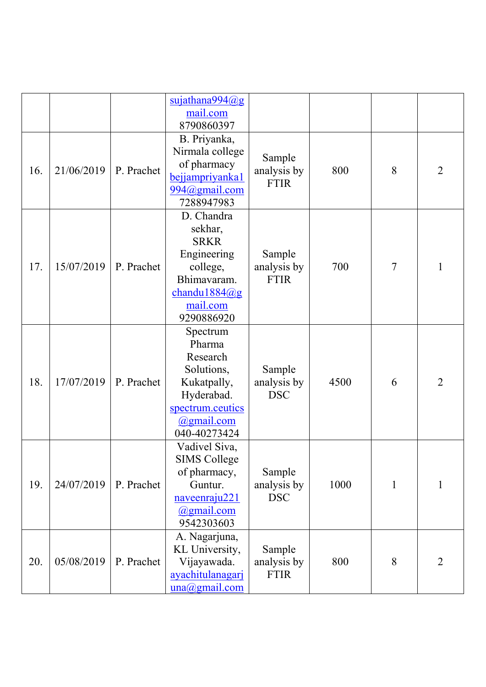|     |            |            | $s$ ujathana994 $(a)$ g                                                                                                                   |                                      |      |                |                |
|-----|------------|------------|-------------------------------------------------------------------------------------------------------------------------------------------|--------------------------------------|------|----------------|----------------|
|     |            |            | mail.com                                                                                                                                  |                                      |      |                |                |
|     |            |            | 8790860397                                                                                                                                |                                      |      |                |                |
| 16. | 21/06/2019 | P. Prachet | B. Priyanka,<br>Nirmala college<br>of pharmacy<br>bejjampriyanka1<br>994@gmail.com<br>7288947983                                          | Sample<br>analysis by<br><b>FTIR</b> | 800  | 8              | $\overline{2}$ |
| 17. | 15/07/2019 | P. Prachet | D. Chandra<br>sekhar,<br><b>SRKR</b><br>Engineering<br>college,<br>Bhimavaram.<br>$chandu1884$ <sub>(a)</sub> g<br>mail.com<br>9290886920 | Sample<br>analysis by<br><b>FTIR</b> | 700  | $\overline{7}$ | 1              |
| 18. | 17/07/2019 | P. Prachet | Spectrum<br>Pharma<br>Research<br>Solutions,<br>Kukatpally,<br>Hyderabad.<br>spectrum.ceutics<br>$\omega$ gmail.com<br>040-40273424       | Sample<br>analysis by<br><b>DSC</b>  | 4500 | 6              | $\overline{2}$ |
| 19. | 24/07/2019 | P. Prachet | Vadivel Siva,<br><b>SIMS College</b><br>of pharmacy,<br>Guntur.<br>naveenraju221<br>@gmail.com<br>9542303603                              | Sample<br>analysis by<br><b>DSC</b>  | 1000 | 1              | 1              |
| 20. | 05/08/2019 | P. Prachet | A. Nagarjuna,<br>KL University,<br>Vijayawada.<br>ayachitulanagari<br>$una(\omega)$ gmail.com                                             | Sample<br>analysis by<br><b>FTIR</b> | 800  | 8              | $\overline{2}$ |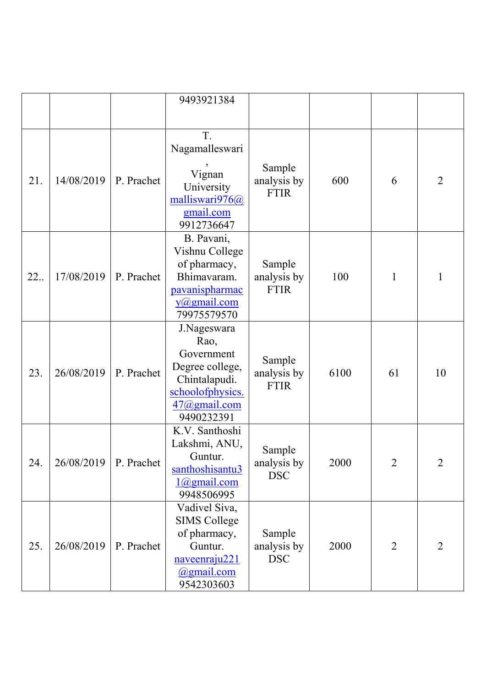|     |            |            | 9493921384                                                                                                              |                                      |      |                |                |
|-----|------------|------------|-------------------------------------------------------------------------------------------------------------------------|--------------------------------------|------|----------------|----------------|
|     |            |            |                                                                                                                         |                                      |      |                |                |
| 21. | 14/08/2019 | P. Prachet | T.<br>Nagamalleswari<br>Vignan<br>University<br>malliswari976@<br>gmail.com<br>9912736647                               | Sample<br>analysis by<br><b>FTIR</b> | 600  | 6              | $\overline{2}$ |
| 22  | 17/08/2019 | P. Prachet | B. Pavani,<br>Vishnu College<br>of pharmacy,<br>Bhimavaram.<br>pavanispharmac<br>$y(\omega)$ gmail.com<br>79975579570   | Sample<br>analysis by<br><b>FTIR</b> | 100  | 1              | 1              |
| 23. | 26/08/2019 | P. Prachet | J.Nageswara<br>Rao,<br>Government<br>Degree college,<br>Chintalapudi.<br>schoolofphysics.<br>47@gmail.com<br>9490232391 | Sample<br>analysis by<br><b>FTIR</b> | 6100 | 61             | 10             |
| 24. | 26/08/2019 | P. Prachet | K.V. Santhoshi<br>Lakshmi, ANU,<br>Guntur.<br>santhoshisantu3<br>$1$ $\omega$ gmail.com<br>9948506995                   | Sample<br>analysis by<br><b>DSC</b>  | 2000 | $\overline{2}$ | $\overline{2}$ |
| 25. | 26/08/2019 | P. Prachet | Vadivel Siva,<br><b>SIMS College</b><br>of pharmacy,<br>Guntur.<br>naveenraju221<br><u>@gmail.com</u><br>9542303603     | Sample<br>analysis by<br><b>DSC</b>  | 2000 | $\overline{2}$ | $\overline{2}$ |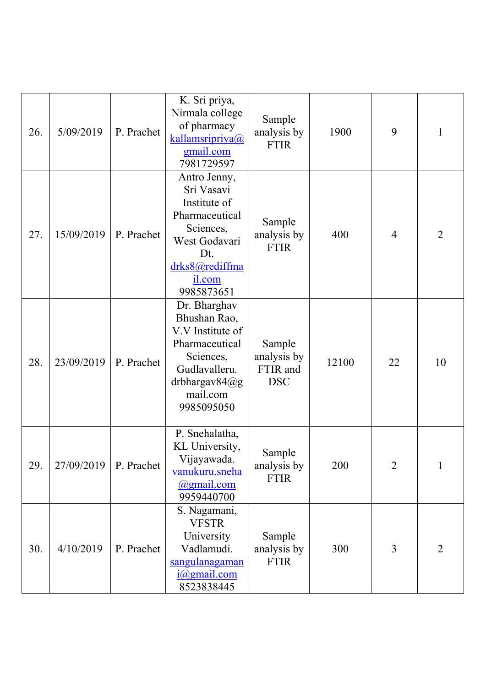| 26. | 5/09/2019  | P. Prachet | K. Sri priya,<br>Nirmala college<br>of pharmacy<br>kallamsripriya@<br>gmail.com<br>7981729597                                                   | Sample<br>analysis by<br><b>FTIR</b>            | 1900  | 9              | 1              |
|-----|------------|------------|-------------------------------------------------------------------------------------------------------------------------------------------------|-------------------------------------------------|-------|----------------|----------------|
| 27. | 15/09/2019 | P. Prachet | Antro Jenny,<br>Sri Vasavi<br>Institute of<br>Pharmaceutical<br>Sciences,<br>West Godavari<br>Dt.<br>drks8@rediffma<br>il.com<br>9985873651     | Sample<br>analysis by<br><b>FTIR</b>            | 400   | $\overline{4}$ | $\overline{2}$ |
| 28. | 23/09/2019 | P. Prachet | Dr. Bharghav<br>Bhushan Rao,<br>V.V Institute of<br>Pharmaceutical<br>Sciences,<br>Gudlavalleru.<br>drbhargav $84$ @g<br>mail.com<br>9985095050 | Sample<br>analysis by<br>FTIR and<br><b>DSC</b> | 12100 | 22             | 10             |
| 29. | 27/09/2019 | P. Prachet | P. Snehalatha,<br>KL University,<br>Vijayawada.<br>vanukuru.sneha<br>@gmail.com<br>9959440700                                                   | Sample<br>analysis by<br><b>FTIR</b>            | 200   | $\overline{2}$ | 1              |
| 30. | 4/10/2019  | P. Prachet | S. Nagamani,<br><b>VFSTR</b><br>University<br>Vadlamudi.<br>sangulanagaman<br>i@gmail.com<br>8523838445                                         | Sample<br>analysis by<br><b>FTIR</b>            | 300   | 3              | $\overline{2}$ |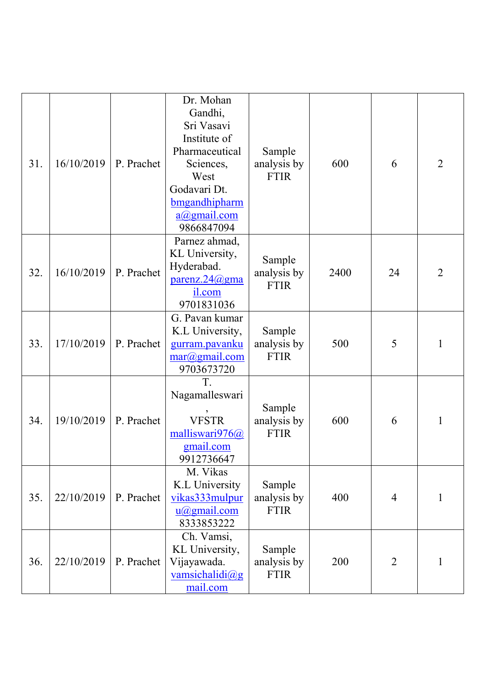| 31. | 16/10/2019 | P. Prachet | Dr. Mohan<br>Gandhi,<br>Sri Vasavi<br>Institute of<br>Pharmaceutical<br>Sciences,<br>West<br>Godavari Dt.<br>bmgandhipharm<br>$a(\omega)$ gmail.com<br>9866847094 | Sample<br>analysis by<br><b>FTIR</b> | 600  | 6              | $\overline{2}$ |
|-----|------------|------------|-------------------------------------------------------------------------------------------------------------------------------------------------------------------|--------------------------------------|------|----------------|----------------|
| 32. | 16/10/2019 | P. Prachet | Parnez ahmad,<br>KL University,<br>Hyderabad.<br>parenz.24@gma<br>il.com<br>9701831036                                                                            | Sample<br>analysis by<br><b>FTIR</b> | 2400 | 24             | $\overline{2}$ |
| 33. | 17/10/2019 | P. Prachet | G. Pavan kumar<br>K.L University,<br>gurram.pavanku<br>$\frac{\text{mar}(a)}{\text{gram}}$<br>9703673720                                                          | Sample<br>analysis by<br><b>FTIR</b> | 500  | 5              | 1              |
| 34. | 19/10/2019 | P. Prachet | T.<br>Nagamalleswari<br><b>VFSTR</b><br>malliswari976@<br>gmail.com<br>9912736647                                                                                 | Sample<br>analysis by<br><b>FTIR</b> | 600  | 6              | $\mathbf{1}$   |
| 35. | 22/10/2019 | P. Prachet | M. Vikas<br>K.L University<br>vikas333mulpur<br>$u(a)$ gmail.com<br>8333853222                                                                                    | Sample<br>analysis by<br><b>FTIR</b> | 400  | $\overline{4}$ | 1              |
| 36. | 22/10/2019 | P. Prachet | Ch. Vamsi,<br>KL University,<br>Vijayawada.<br>vamsichalidi@g<br>mail.com                                                                                         | Sample<br>analysis by<br><b>FTIR</b> | 200  | $\overline{2}$ | 1              |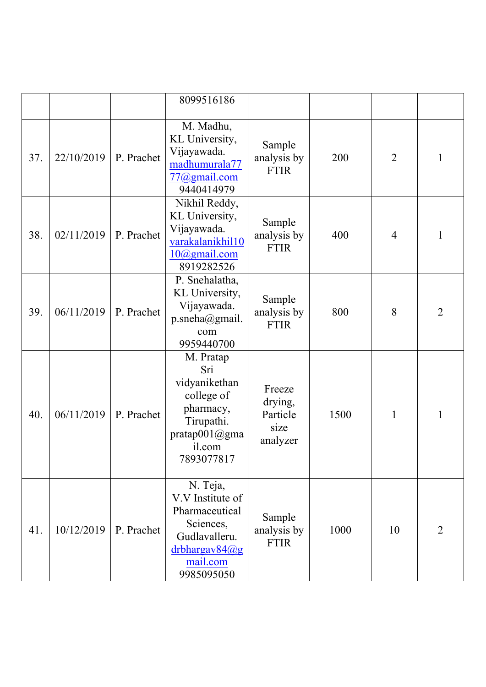|     |            |            | 8099516186                                                                                                                     |                                                   |      |                |                |
|-----|------------|------------|--------------------------------------------------------------------------------------------------------------------------------|---------------------------------------------------|------|----------------|----------------|
| 37. | 22/10/2019 | P. Prachet | M. Madhu,<br>KL University,<br>Vijayawada.<br>madhumurala77<br>$77$ ( $a$ ) gmail.com<br>9440414979                            | Sample<br>analysis by<br><b>FTIR</b>              | 200  | $\overline{2}$ | 1              |
| 38. | 02/11/2019 | P. Prachet | Nikhil Reddy,<br>KL University,<br>Vijayawada.<br>varakalanikhil10<br>10@gmail.com<br>8919282526                               | Sample<br>analysis by<br><b>FTIR</b>              | 400  | $\overline{4}$ | 1              |
| 39. | 06/11/2019 | P. Prachet | P. Snehalatha,<br>KL University,<br>Vijayawada.<br>p.sneha@gmail.<br>com<br>9959440700                                         | Sample<br>analysis by<br><b>FTIR</b>              | 800  | 8              | $\overline{2}$ |
| 40. | 06/11/2019 | P. Prachet | M. Pratap<br>Sri<br>vidyanikethan<br>college of<br>pharmacy,<br>Tirupathi.<br>pratap001@gma<br>il.com<br>7893077817            | Freeze<br>drying,<br>Particle<br>size<br>analyzer | 1500 | $\mathbf{1}$   | 1              |
| 41. | 10/12/2019 | P. Prachet | N. Teja,<br>V.V Institute of<br>Pharmaceutical<br>Sciences,<br>Gudlavalleru.<br>$d$ rbhargav $84$ @g<br>mail.com<br>9985095050 | Sample<br>analysis by<br><b>FTIR</b>              | 1000 | 10             | 2              |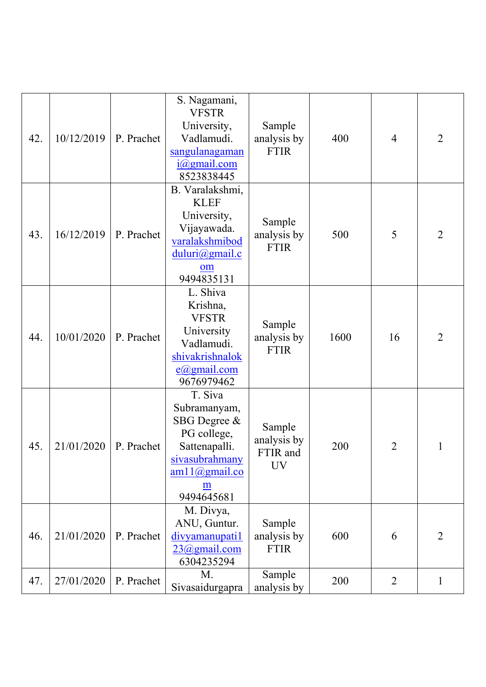| 42. | 10/12/2019 | P. Prachet | S. Nagamani,<br><b>VFSTR</b><br>University,<br>Vadlamudi.<br>sangulanagaman<br>$i$ ( $Q$ gmail.com<br>8523838445              | Sample<br>analysis by<br><b>FTIR</b>    | 400  | $\overline{4}$ | $\overline{2}$ |
|-----|------------|------------|-------------------------------------------------------------------------------------------------------------------------------|-----------------------------------------|------|----------------|----------------|
| 43. | 16/12/2019 | P. Prachet | B. Varalakshmi,<br><b>KLEF</b><br>University,<br>Vijayawada.<br>varalakshmibod<br>duluri@gmail.c<br>om<br>9494835131          | Sample<br>analysis by<br><b>FTIR</b>    | 500  | 5              | $\overline{2}$ |
| 44. | 10/01/2020 | P. Prachet | L. Shiva<br>Krishna,<br><b>VFSTR</b><br>University<br>Vadlamudi.<br>shivakrishnalok<br>$e$ @gmail.com<br>9676979462           | Sample<br>analysis by<br><b>FTIR</b>    | 1600 | 16             | $\overline{2}$ |
| 45. | 21/01/2020 | P. Prachet | T. Siva<br>Subramanyam,<br>SBG Degree &<br>PG college,<br>Sattenapalli.<br>sivasubrahmany<br>am11@gmail.co<br>m<br>9494645681 | Sample<br>analysis by<br>FTIR and<br>UV | 200  | 2              | 1              |
| 46. | 21/01/2020 | P. Prachet | M. Divya,<br>ANU, Guntur.<br>divyamanupati1<br>23@gmail.com<br>6304235294                                                     | Sample<br>analysis by<br><b>FTIR</b>    | 600  | 6              | $\overline{2}$ |
| 47. | 27/01/2020 | P. Prachet | M.<br>Sivasaidurgapra                                                                                                         | Sample<br>analysis by                   | 200  | $\overline{2}$ | 1              |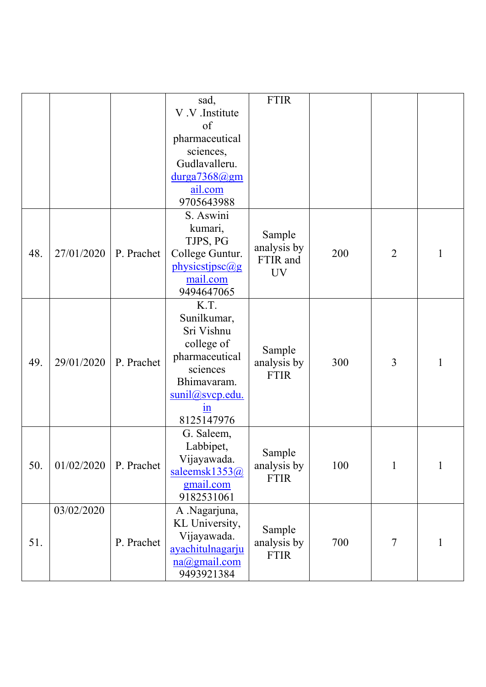|     |            |            | sad,                   | <b>FTIR</b>                |     |                |              |
|-----|------------|------------|------------------------|----------------------------|-----|----------------|--------------|
|     |            |            | V.V.Institute          |                            |     |                |              |
|     |            |            | of                     |                            |     |                |              |
|     |            |            | pharmaceutical         |                            |     |                |              |
|     |            |            | sciences,              |                            |     |                |              |
|     |            |            | Gudlavalleru.          |                            |     |                |              |
|     |            |            | durga7368@gm           |                            |     |                |              |
|     |            |            | ail.com                |                            |     |                |              |
|     |            |            | 9705643988             |                            |     |                |              |
|     |            |            | S. Aswini              |                            |     |                |              |
|     |            |            | kumari,                |                            |     |                |              |
|     |            |            | TJPS, PG               | Sample                     |     |                |              |
| 48. | 27/01/2020 | P. Prachet | College Guntur.        | analysis by<br>FTIR and    | 200 | $\overline{2}$ | 1            |
|     |            |            | physicstipsc@g         | <b>UV</b>                  |     |                |              |
|     |            |            | mail.com               |                            |     |                |              |
|     |            |            | 9494647065             |                            |     |                |              |
|     |            |            | K.T.                   |                            |     |                |              |
|     |            |            | Sunilkumar,            |                            |     |                |              |
|     |            |            | Sri Vishnu             |                            |     |                |              |
|     |            |            | college of             |                            |     |                |              |
| 49. | 29/01/2020 | P. Prachet | pharmaceutical         | Sample                     | 300 | 3              | 1            |
|     |            |            | sciences               | analysis by<br><b>FTIR</b> |     |                |              |
|     |            |            | Bhimavaram.            |                            |     |                |              |
|     |            |            | sunil@svcp.edu.        |                            |     |                |              |
|     |            |            | 1n                     |                            |     |                |              |
|     |            |            | 8125147976             |                            |     |                |              |
|     |            |            | G. Saleem,             |                            |     |                |              |
|     |            |            | Labbipet,              |                            |     |                |              |
| 50. | 01/02/2020 | P. Prachet | Vijayawada.            | Sample                     | 100 | $\mathbf{1}$   | $\mathbf{1}$ |
|     |            |            | saleemsk1353@          | analysis by<br><b>FTIR</b> |     |                |              |
|     |            |            | gmail.com              |                            |     |                |              |
|     |            |            | 9182531061             |                            |     |                |              |
|     | 03/02/2020 |            | A .Nagarjuna,          |                            |     |                |              |
|     |            |            | KL University,         | Sample                     |     |                |              |
| 51. |            | P. Prachet | Vijayawada.            | analysis by                | 700 | $\tau$         | $\mathbf{1}$ |
|     |            |            | ayachitulnagarju       | <b>FTIR</b>                |     |                |              |
|     |            |            | $na(\omega)$ gmail.com |                            |     |                |              |
|     |            |            | 9493921384             |                            |     |                |              |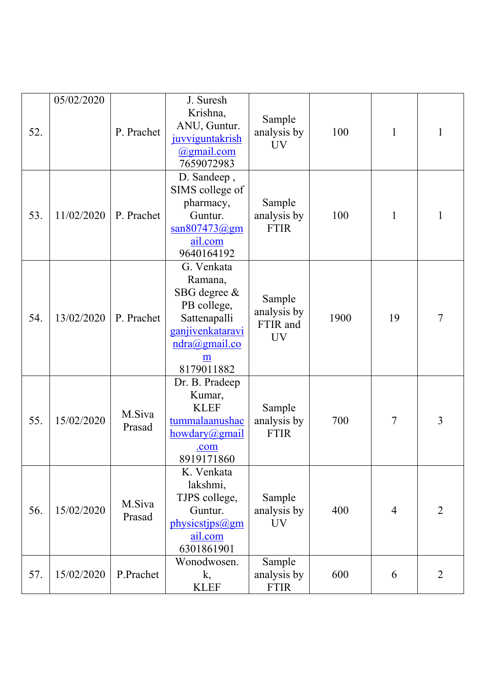|     | 05/02/2020 |                  | J. Suresh                                                                                                                                 |                                                |      |    |                |
|-----|------------|------------------|-------------------------------------------------------------------------------------------------------------------------------------------|------------------------------------------------|------|----|----------------|
| 52. |            | P. Prachet       | Krishna,<br>ANU, Guntur.<br>juvviguntakrish<br><u>@gmail.com</u><br>7659072983                                                            | Sample<br>analysis by<br><b>UV</b>             | 100  | 1  | 1              |
| 53. | 11/02/2020 | P. Prachet       | D. Sandeep,<br>SIMS college of<br>pharmacy,<br>Guntur.<br>$\frac{\text{san807473} \textcircled{a} \text{gm}}{2}$<br>ail.com<br>9640164192 | Sample<br>analysis by<br><b>FTIR</b>           | 100  | 1  | 1              |
| 54. | 13/02/2020 | P. Prachet       | G. Venkata<br>Ramana,<br>SBG degree &<br>PB college,<br>Sattenapalli<br>ganjivenkataravi<br>$ndra(\omega)$ gmail.co<br>m<br>8179011882    | Sample<br>analysis by<br>FTIR and<br><b>UV</b> | 1900 | 19 | $\overline{7}$ |
| 55. | 15/02/2020 | M.Siva<br>Prasad | Dr. B. Pradeep<br>Kumar,<br><b>KLEF</b><br>tummalaanushac<br>howdary@gmail<br>.com<br>8919171860                                          | Sample<br>analysis by<br><b>FTIR</b>           | 700  | 7  | 3              |
| 56. | 15/02/2020 | M.Siva<br>Prasad | K. Venkata<br>lakshmi,<br>TJPS college,<br>Guntur.<br>physicstjps@gm<br>ail.com<br>6301861901                                             | Sample<br>analysis by<br>UV                    | 400  | 4  | $\overline{2}$ |
| 57. | 15/02/2020 | P.Prachet        | Wonodwosen.<br>k,<br><b>KLEF</b>                                                                                                          | Sample<br>analysis by<br><b>FTIR</b>           | 600  | 6  | 2              |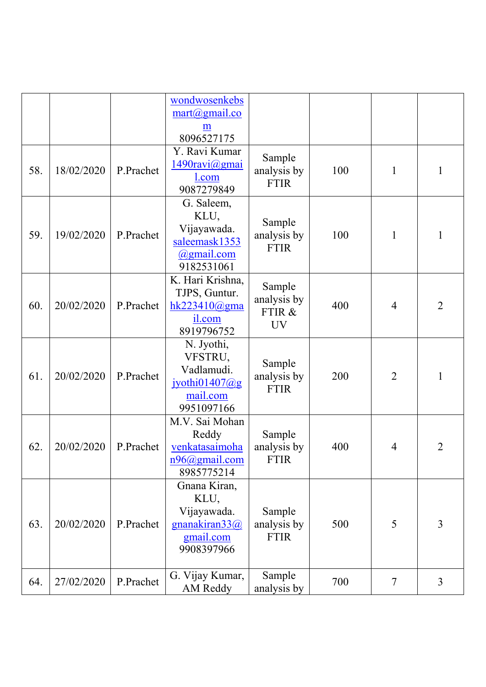|     |            |           | wondwosenkebs<br>$\frac{\text{mart}(a) \text{gmail.co}}{a}$                        |                                              |     |                |                |
|-----|------------|-----------|------------------------------------------------------------------------------------|----------------------------------------------|-----|----------------|----------------|
|     |            |           | m<br>8096527175                                                                    |                                              |     |                |                |
| 58. | 18/02/2020 | P.Prachet | Y. Ravi Kumar<br>1490ravi@gmai<br>l.com<br>9087279849                              | Sample<br>analysis by<br><b>FTIR</b>         | 100 | $\mathbf{1}$   | $\mathbf 1$    |
| 59. | 19/02/2020 | P.Prachet | G. Saleem,<br>KLU,<br>Vijayawada.<br>saleemask1353<br>@gmail.com<br>9182531061     | Sample<br>analysis by<br><b>FTIR</b>         | 100 | $\mathbf{1}$   | 1              |
| 60. | 20/02/2020 | P.Prachet | K. Hari Krishna,<br>TJPS, Guntur.<br>hk223410 $@gma$<br>il.com<br>8919796752       | Sample<br>analysis by<br>FTIR &<br><b>UV</b> | 400 | 4              | $\overline{2}$ |
| 61. | 20/02/2020 | P.Prachet | N. Jyothi,<br>VFSTRU,<br>Vadlamudi.<br>jyothi $01407$ @g<br>mail.com<br>9951097166 | Sample<br>analysis by<br><b>FTIR</b>         | 200 | $\overline{2}$ | $\mathbf{1}$   |
| 62. | 20/02/2020 | P.Prachet | M.V. Sai Mohan<br>Reddy<br>venkatasaimoha<br>$n96$ @gmail.com<br>8985775214        | Sample<br>analysis by<br><b>FTIR</b>         | 400 | 4              | 2              |
| 63. | 20/02/2020 | P.Prachet | Gnana Kiran,<br>KLU,<br>Vijayawada.<br>gnanakiran33@<br>gmail.com<br>9908397966    | Sample<br>analysis by<br><b>FTIR</b>         | 500 | 5              | 3              |
| 64. | 27/02/2020 | P.Prachet | G. Vijay Kumar,<br>AM Reddy                                                        | Sample<br>analysis by                        | 700 | $\tau$         | 3              |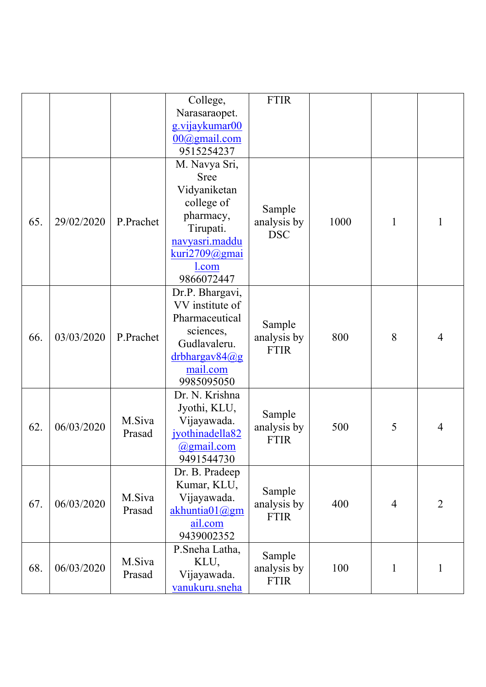|     |            |                  | College,               | <b>FTIR</b>                          |      |                |                |
|-----|------------|------------------|------------------------|--------------------------------------|------|----------------|----------------|
|     |            |                  | Narasaraopet.          |                                      |      |                |                |
|     |            |                  | g.vijaykumar00         |                                      |      |                |                |
|     |            |                  | $00$ ( $a$ ) gmail.com |                                      |      |                |                |
|     |            |                  | 9515254237             |                                      |      |                |                |
|     | 29/02/2020 | P.Prachet        | M. Navya Sri,          |                                      |      |                |                |
|     |            |                  | <b>Sree</b>            | Sample<br>analysis by<br><b>DSC</b>  | 1000 | 1              | 1              |
| 65. |            |                  | Vidyaniketan           |                                      |      |                |                |
|     |            |                  | college of             |                                      |      |                |                |
|     |            |                  | pharmacy,              |                                      |      |                |                |
|     |            |                  | Tirupati.              |                                      |      |                |                |
|     |            |                  | navyasri.maddu         |                                      |      |                |                |
|     |            |                  | kuri2709@gmai          |                                      |      |                |                |
|     |            |                  | l.com                  |                                      |      |                |                |
|     |            |                  | 9866072447             |                                      |      |                |                |
|     | 03/03/2020 | P.Prachet        | Dr.P. Bhargavi,        | Sample<br>analysis by<br><b>FTIR</b> | 800  | 8              | $\overline{4}$ |
|     |            |                  | VV institute of        |                                      |      |                |                |
|     |            |                  | Pharmaceutical         |                                      |      |                |                |
|     |            |                  | sciences,              |                                      |      |                |                |
| 66. |            |                  | Gudlavaleru.           |                                      |      |                |                |
|     |            |                  | drbhargav84@g          |                                      |      |                |                |
|     |            |                  | mail.com               |                                      |      |                |                |
|     |            |                  | 9985095050             |                                      |      |                |                |
|     | 06/03/2020 | M.Siva<br>Prasad | Dr. N. Krishna         | Sample<br>analysis by<br><b>FTIR</b> | 500  | 5              | $\overline{4}$ |
|     |            |                  | Jyothi, KLU,           |                                      |      |                |                |
| 62. |            |                  | Vijayawada.            |                                      |      |                |                |
|     |            |                  | jyothinadella82        |                                      |      |                |                |
|     |            |                  | @gmail.com             |                                      |      |                |                |
|     |            |                  | 9491544730             |                                      |      |                |                |
|     | 06/03/2020 | M.Siva<br>Prasad | Dr. B. Pradeep         | Sample<br>analysis by<br><b>FTIR</b> |      |                |                |
|     |            |                  | Kumar, KLU,            |                                      | 400  | $\overline{4}$ | $\overline{2}$ |
| 67. |            |                  | Vijayawada.            |                                      |      |                |                |
|     |            |                  | akhuntia01@gm          |                                      |      |                |                |
|     |            |                  | ail.com                |                                      |      |                |                |
|     |            |                  | 9439002352             |                                      |      |                |                |
| 68. | 06/03/2020 | M.Siva<br>Prasad | P.Sneha Latha,         | Sample<br>analysis by<br><b>FTIR</b> | 100  | $\mathbf{1}$   | $\mathbf 1$    |
|     |            |                  | KLU,                   |                                      |      |                |                |
|     |            |                  | Vijayawada.            |                                      |      |                |                |
|     |            |                  | vanukuru.sneha         |                                      |      |                |                |